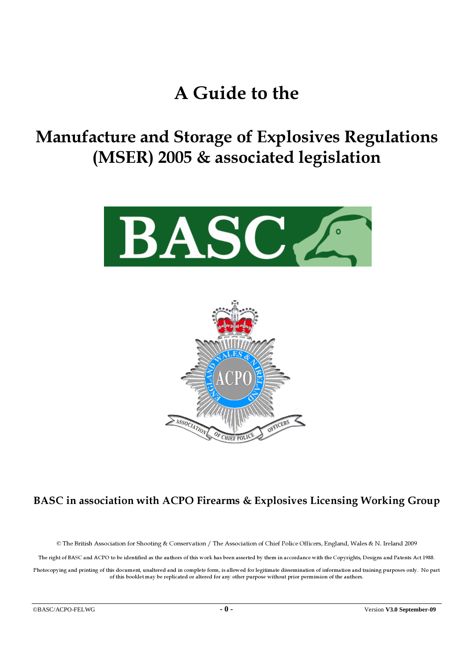# A Guide to the

Manufacture and Storage of Explosives Regulations (MSER) 2005 & associated legislation





## BASC in association with ACPO Firearms & Explosives Licensing Working Group

© The British Association for Shooting & Conservation / The Association of Chief Police Officers, England, Wales & N. Ireland 2009

The right of BASC and ACPO to be identified as the authors of this work has been asserted by them in accordance with the Copyrights, Designs and Patents Act 1988.

Photocopying and printing of this document, unaltered and in complete form, is allowed for legitimate dissemination of information and training purposes only. No part of this booklet may be replicated or altered for any other purpose without prior permission of the authors.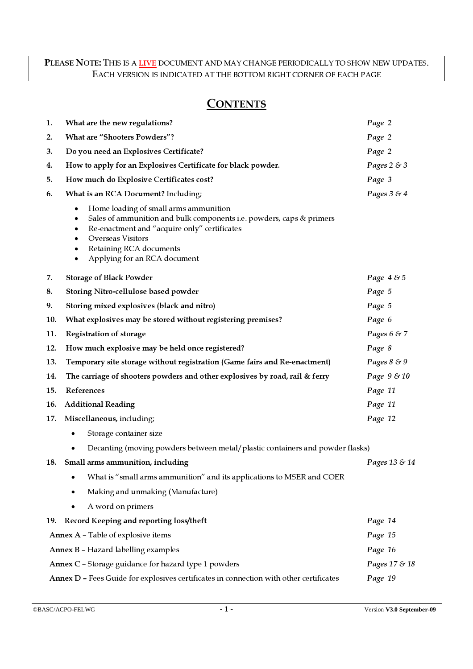#### PLEASE NOTE: THIS IS A LIVE DOCUMENT AND MAY CHANGE PERIODICALLY TO SHOW NEW UPDATES. EACH VERSION IS INDICATED AT THE BOTTOM RIGHT CORNER OF EACH PAGE

## **CONTENTS**

| 1.                                                                                                | What are the new regulations?                                                                                                                                                                                                                                                                                      | Page 2         |  |  |  |
|---------------------------------------------------------------------------------------------------|--------------------------------------------------------------------------------------------------------------------------------------------------------------------------------------------------------------------------------------------------------------------------------------------------------------------|----------------|--|--|--|
| 2.                                                                                                | <b>What are "Shooters Powders"?</b>                                                                                                                                                                                                                                                                                | Page 2         |  |  |  |
| З.                                                                                                | Do you need an Explosives Certificate?                                                                                                                                                                                                                                                                             | Page 2         |  |  |  |
| 4.                                                                                                | How to apply for an Explosives Certificate for black powder.                                                                                                                                                                                                                                                       | Pages $2 \& 3$ |  |  |  |
| 5.                                                                                                | How much do Explosive Certificates cost?                                                                                                                                                                                                                                                                           | Page 3         |  |  |  |
| 6.                                                                                                | What is an RCA Document? Including;                                                                                                                                                                                                                                                                                | Pages $3 \& 4$ |  |  |  |
|                                                                                                   | Home loading of small arms ammunition<br>$\bullet$<br>Sales of ammunition and bulk components i.e. powders, caps & primers<br>$\bullet$<br>Re-enactment and "acquire only" certificates<br>$\bullet$<br><b>Overseas Visitors</b><br>$\bullet$<br>Retaining RCA documents<br>٠<br>Applying for an RCA document<br>٠ |                |  |  |  |
| 7.                                                                                                | <b>Storage of Black Powder</b>                                                                                                                                                                                                                                                                                     | Page 4 & 5     |  |  |  |
| 8.                                                                                                | Storing Nitro-cellulose based powder                                                                                                                                                                                                                                                                               | Page 5         |  |  |  |
| 9.                                                                                                | Storing mixed explosives (black and nitro)                                                                                                                                                                                                                                                                         | Page 5         |  |  |  |
| 10.                                                                                               | What explosives may be stored without registering premises?                                                                                                                                                                                                                                                        | Page 6         |  |  |  |
| 11.                                                                                               | Registration of storage                                                                                                                                                                                                                                                                                            | Pages $6 \& 7$ |  |  |  |
| 12.                                                                                               | How much explosive may be held once registered?                                                                                                                                                                                                                                                                    | Page 8         |  |  |  |
| 13.                                                                                               | Temporary site storage without registration (Game fairs and Re-enactment)                                                                                                                                                                                                                                          | Pages 8 & 9    |  |  |  |
| 14.                                                                                               | The carriage of shooters powders and other explosives by road, rail & ferry                                                                                                                                                                                                                                        | Page 9 & 10    |  |  |  |
| 15.                                                                                               | References                                                                                                                                                                                                                                                                                                         | Page 11        |  |  |  |
| 16.                                                                                               | <b>Additional Reading</b>                                                                                                                                                                                                                                                                                          | Page 11        |  |  |  |
| 17.                                                                                               | Miscellaneous, including;                                                                                                                                                                                                                                                                                          | Page 12        |  |  |  |
|                                                                                                   | Storage container size<br>$\bullet$                                                                                                                                                                                                                                                                                |                |  |  |  |
|                                                                                                   | Decanting (moving powders between metal/plastic containers and powder flasks)                                                                                                                                                                                                                                      |                |  |  |  |
|                                                                                                   | 18. Small arms ammunition, including                                                                                                                                                                                                                                                                               | Pages 13 & 14  |  |  |  |
|                                                                                                   | What is "small arms ammunition" and its applications to MSER and COER                                                                                                                                                                                                                                              |                |  |  |  |
|                                                                                                   | Making and unmaking (Manufacture)                                                                                                                                                                                                                                                                                  |                |  |  |  |
|                                                                                                   | A word on primers                                                                                                                                                                                                                                                                                                  |                |  |  |  |
| 19.                                                                                               | Record Keeping and reporting loss/theft                                                                                                                                                                                                                                                                            | Page 14        |  |  |  |
|                                                                                                   | Annex A - Table of explosive items                                                                                                                                                                                                                                                                                 | Page 15        |  |  |  |
|                                                                                                   | <b>Annex B - Hazard labelling examples</b>                                                                                                                                                                                                                                                                         | Page 16        |  |  |  |
| Annex C - Storage guidance for hazard type 1 powders<br>Pages 17 & 18                             |                                                                                                                                                                                                                                                                                                                    |                |  |  |  |
| Annex D - Fees Guide for explosives certificates in connection with other certificates<br>Page 19 |                                                                                                                                                                                                                                                                                                                    |                |  |  |  |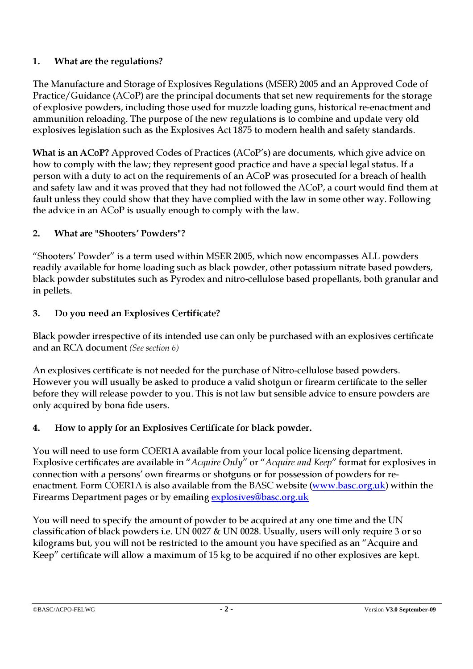## 1. What are the regulations?

The Manufacture and Storage of Explosives Regulations (MSER) 2005 and an Approved Code of Practice/Guidance (ACoP) are the principal documents that set new requirements for the storage of explosive powders, including those used for muzzle loading guns, historical re-enactment and ammunition reloading. The purpose of the new regulations is to combine and update very old explosives legislation such as the Explosives Act 1875 to modern health and safety standards.

What is an ACoP? Approved Codes of Practices (ACoP's) are documents, which give advice on how to comply with the law; they represent good practice and have a special legal status. If a person with a duty to act on the requirements of an ACoP was prosecuted for a breach of health and safety law and it was proved that they had not followed the ACoP, a court would find them at fault unless they could show that they have complied with the law in some other way. Following the advice in an ACoP is usually enough to comply with the law.

## 2. What are "Shooters' Powders"?

"Shooters' Powder" is a term used within MSER 2005, which now encompasses ALL powders readily available for home loading such as black powder, other potassium nitrate based powders, black powder substitutes such as Pyrodex and nitro-cellulose based propellants, both granular and in pellets.

## 3. Do you need an Explosives Certificate?

Black powder irrespective of its intended use can only be purchased with an explosives certificate and an RCA document (See section 6)

An explosives certificate is not needed for the purchase of Nitro-cellulose based powders. However you will usually be asked to produce a valid shotgun or firearm certificate to the seller before they will release powder to you. This is not law but sensible advice to ensure powders are only acquired by bona fide users.

## 4. How to apply for an Explosives Certificate for black powder.

You will need to use form COER1A available from your local police licensing department. Explosive certificates are available in "Acquire Only" or "Acquire and Keep" format for explosives in connection with a persons' own firearms or shotguns or for possession of powders for reenactment. Form COER1A is also available from the BASC website (www.basc.org.uk) within the Firearms Department pages or by emailing explosives@basc.org.uk

You will need to specify the amount of powder to be acquired at any one time and the UN classification of black powders i.e. UN 0027 & UN 0028. Usually, users will only require 3 or so kilograms but, you will not be restricted to the amount you have specified as an "Acquire and Keep" certificate will allow a maximum of 15 kg to be acquired if no other explosives are kept.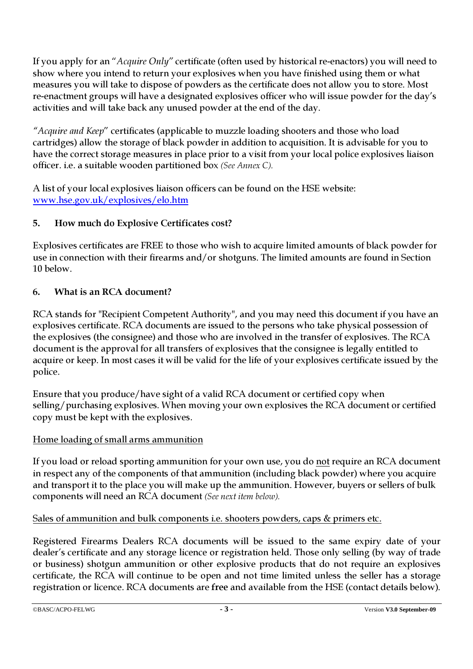If you apply for an "Acquire Only" certificate (often used by historical re-enactors) you will need to show where you intend to return your explosives when you have finished using them or what measures you will take to dispose of powders as the certificate does not allow you to store. Most re-enactment groups will have a designated explosives officer who will issue powder for the day's activities and will take back any unused powder at the end of the day.

"Acquire and Keep" certificates (applicable to muzzle loading shooters and those who load cartridges) allow the storage of black powder in addition to acquisition. It is advisable for you to have the correct storage measures in place prior to a visit from your local police explosives liaison officer. i.e. a suitable wooden partitioned box (See Annex C).

A list of your local explosives liaison officers can be found on the HSE website: www.hse.gov.uk/explosives/elo.htm

## 5. How much do Explosive Certificates cost?

Explosives certificates are FREE to those who wish to acquire limited amounts of black powder for use in connection with their firearms and/or shotguns. The limited amounts are found in Section 10 below.

## 6. What is an RCA document?

RCA stands for "Recipient Competent Authority", and you may need this document if you have an explosives certificate. RCA documents are issued to the persons who take physical possession of the explosives (the consignee) and those who are involved in the transfer of explosives. The RCA document is the approval for all transfers of explosives that the consignee is legally entitled to acquire or keep. In most cases it will be valid for the life of your explosives certificate issued by the police.

Ensure that you produce/have sight of a valid RCA document or certified copy when selling/purchasing explosives. When moving your own explosives the RCA document or certified copy must be kept with the explosives.

## Home loading of small arms ammunition

If you load or reload sporting ammunition for your own use, you do not require an RCA document in respect any of the components of that ammunition (including black powder) where you acquire and transport it to the place you will make up the ammunition. However, buyers or sellers of bulk components will need an RCA document (See next item below).

## Sales of ammunition and bulk components i.e. shooters powders, caps & primers etc.

Registered Firearms Dealers RCA documents will be issued to the same expiry date of your dealer's certificate and any storage licence or registration held. Those only selling (by way of trade or business) shotgun ammunition or other explosive products that do not require an explosives certificate, the RCA will continue to be open and not time limited unless the seller has a storage registration or licence. RCA documents are free and available from the HSE (contact details below).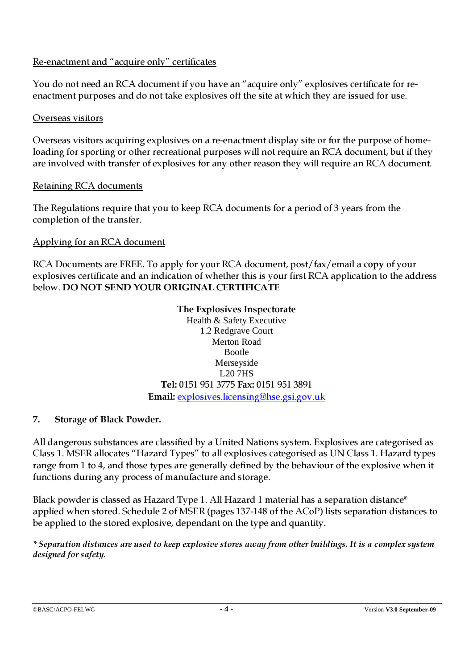## Re-enactment and "acquire only" certificates

You do not need an RCA document if you have an "acquire only" explosives certificate for reenactment purposes and do not take explosives off the site at which they are issued for use.

#### Overseas visitors

Overseas visitors acquiring explosives on a re-enactment display site or for the purpose of homeloading for sporting or other recreational purposes will not require an RCA document, but if they are involved with transfer of explosives for any other reason they will require an RCA document.

## Retaining RCA documents

The Regulations require that you to keep RCA documents for a period of 3 years from the completion of the transfer.

## Applying for an RCA document

RCA Documents are FREE. To apply for your RCA document, post/fax/email a copy of your explosives certificate and an indication of whether this is your first RCA application to the address below. DO NOT SEND YOUR ORIGINAL CERTIFICATE

## The Explosives Inspectorate

Health & Safety Executive 1.2 Redgrave Court Merton Road Bootle Merseyside L20 7HS Tel: 0151 951 3775 Fax: 0151 951 3891 Email: explosives.licensing@hse.gsi.gov.uk

## 7. Storage of Black Powder.

All dangerous substances are classified by a United Nations system. Explosives are categorised as Class 1. MSER allocates "Hazard Types" to all explosives categorised as UN Class 1. Hazard types range from 1 to 4, and those types are generally defined by the behaviour of the explosive when it functions during any process of manufacture and storage.

Black powder is classed as Hazard Type 1. All Hazard 1 material has a separation distance\* applied when stored. Schedule 2 of MSER (pages 137-148 of the ACoP) lists separation distances to be applied to the stored explosive, dependant on the type and quantity.

\* Separation distances are used to keep explosive stores away from other buildings. It is a complex system designed for safety.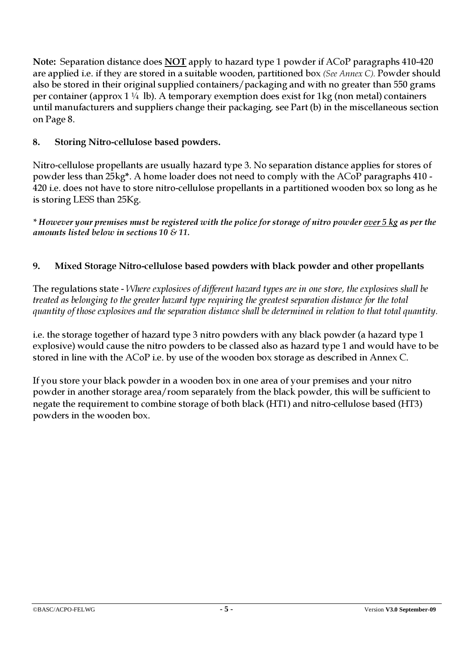Note: Separation distance does NOT apply to hazard type 1 powder if ACoP paragraphs 410-420 are applied i.e. if they are stored in a suitable wooden, partitioned box (See Annex C). Powder should also be stored in their original supplied containers/packaging and with no greater than 550 grams per container (approx  $1\frac{1}{4}$  lb). A temporary exemption does exist for 1 kg (non metal) containers until manufacturers and suppliers change their packaging, see Part (b) in the miscellaneous section on Page 8.

## 8. Storing Nitro-cellulose based powders.

Nitro-cellulose propellants are usually hazard type 3. No separation distance applies for stores of powder less than 25kg\*. A home loader does not need to comply with the ACoP paragraphs 410 - 420 i.e. does not have to store nitro-cellulose propellants in a partitioned wooden box so long as he is storing LESS than 25Kg.

\* However your premises must be registered with the police for storage of nitro powder over 5 kg as per the amounts listed below in sections 10  $\&$  11.

## 9. Mixed Storage Nitro-cellulose based powders with black powder and other propellants

The regulations state - Where explosives of different hazard types are in one store, the explosives shall be treated as belonging to the greater hazard type requiring the greatest separation distance for the total quantity of those explosives and the separation distance shall be determined in relation to that total quantity.

i.e. the storage together of hazard type 3 nitro powders with any black powder (a hazard type 1 explosive) would cause the nitro powders to be classed also as hazard type 1 and would have to be stored in line with the ACoP i.e. by use of the wooden box storage as described in Annex C.

If you store your black powder in a wooden box in one area of your premises and your nitro powder in another storage area/room separately from the black powder, this will be sufficient to negate the requirement to combine storage of both black (HT1) and nitro-cellulose based (HT3) powders in the wooden box.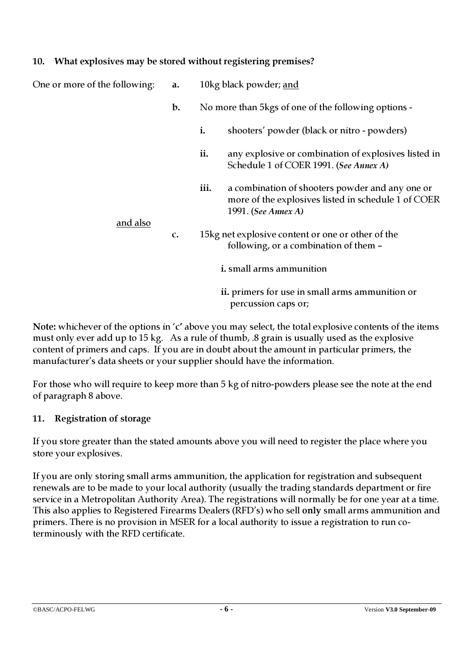#### 10. What explosives may be stored without registering premises?

| One or more of the following: | a.           |                                                      | 10kg black powder; and                                                                                                        |  |
|-------------------------------|--------------|------------------------------------------------------|-------------------------------------------------------------------------------------------------------------------------------|--|
|                               | $b$ .        | No more than 5 kgs of one of the following options - |                                                                                                                               |  |
|                               |              | i.                                                   | shooters' powder (black or nitro - powders)                                                                                   |  |
|                               |              | ii.                                                  | any explosive or combination of explosives listed in<br>Schedule 1 of COER 1991. (See Annex A)                                |  |
|                               |              | iii.                                                 | a combination of shooters powder and any one or<br>more of the explosives listed in schedule 1 of COER<br>1991. (See Annex A) |  |
| and also                      | $\mathbf{C}$ |                                                      | 15kg net explosive content or one or other of the<br>following, or a combination of them -                                    |  |
|                               |              | <i>i.</i> small arms ammunition                      |                                                                                                                               |  |
|                               |              |                                                      | ii. primers for use in small arms ammunition or<br>percussion caps or;                                                        |  |

Note: whichever of the options in 'c' above you may select, the total explosive contents of the items must only ever add up to 15 kg. As a rule of thumb, .8 grain is usually used as the explosive content of primers and caps. If you are in doubt about the amount in particular primers, the manufacturer's data sheets or your supplier should have the information.

For those who will require to keep more than 5 kg of nitro-powders please see the note at the end of paragraph 8 above.

## 11. Registration of storage

If you store greater than the stated amounts above you will need to register the place where you store your explosives.

If you are only storing small arms ammunition, the application for registration and subsequent renewals are to be made to your local authority (usually the trading standards department or fire service in a Metropolitan Authority Area). The registrations will normally be for one year at a time. This also applies to Registered Firearms Dealers (RFD's) who sell only small arms ammunition and primers. There is no provision in MSER for a local authority to issue a registration to run coterminously with the RFD certificate.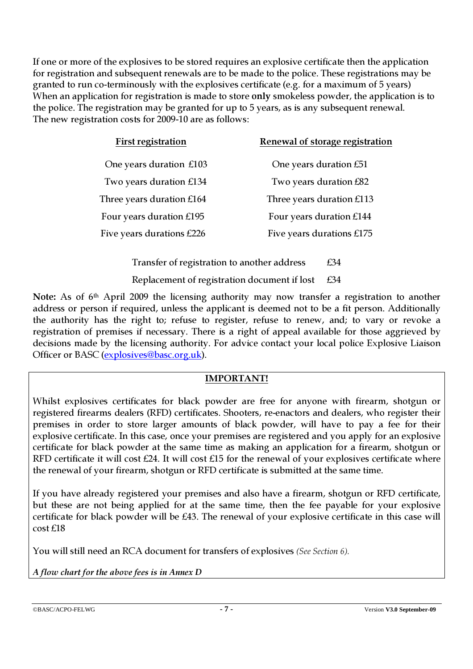If one or more of the explosives to be stored requires an explosive certificate then the application for registration and subsequent renewals are to be made to the police. These registrations may be granted to run co-terminously with the explosives certificate (e.g. for a maximum of 5 years) When an application for registration is made to store only smokeless powder, the application is to the police. The registration may be granted for up to 5 years, as is any subsequent renewal. The new registration costs for 2009-10 are as follows:

| <b>First registration</b> | Renewal of storage registration |
|---------------------------|---------------------------------|
| One years duration £103   | One years duration £51          |
| Two years duration £134   | Two years duration £82          |
| Three years duration £164 | Three years duration £113       |
| Four years duration £195  | Four years duration £144        |
| Five years durations £226 | Five years durations £175       |
|                           |                                 |

Transfer of registration to another address  $£34$ Replacement of registration document if lost £34

Note: As of 6<sup>th</sup> April 2009 the licensing authority may now transfer a registration to another address or person if required, unless the applicant is deemed not to be a fit person. Additionally the authority has the right to; refuse to register, refuse to renew, and; to vary or revoke a registration of premises if necessary. There is a right of appeal available for those aggrieved by decisions made by the licensing authority. For advice contact your local police Explosive Liaison Officer or BASC (explosives@basc.org.uk).

#### IMPORTANT!

Whilst explosives certificates for black powder are free for anyone with firearm, shotgun or registered firearms dealers (RFD) certificates. Shooters, re-enactors and dealers, who register their premises in order to store larger amounts of black powder, will have to pay a fee for their explosive certificate. In this case, once your premises are registered and you apply for an explosive certificate for black powder at the same time as making an application for a firearm, shotgun or RFD certificate it will cost £24. It will cost £15 for the renewal of your explosives certificate where the renewal of your firearm, shotgun or RFD certificate is submitted at the same time.

If you have already registered your premises and also have a firearm, shotgun or RFD certificate, but these are not being applied for at the same time, then the fee payable for your explosive certificate for black powder will be £43. The renewal of your explosive certificate in this case will cost £18

You will still need an RCA document for transfers of explosives (See Section 6).

A flow chart for the above fees is in Annex D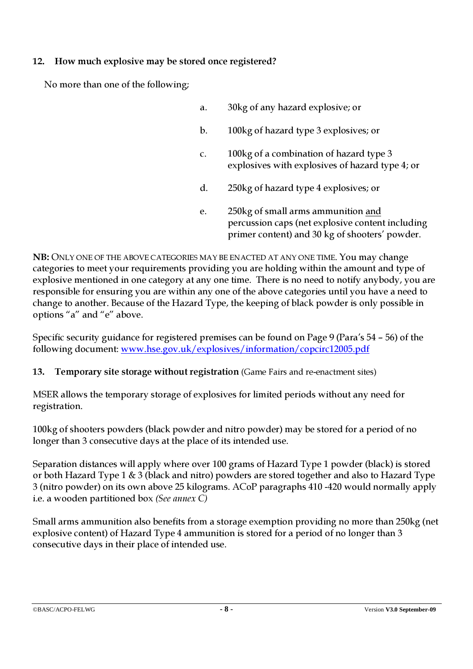## 12. How much explosive may be stored once registered?

No more than one of the following;

- a. 30kg of any hazard explosive; or b. 100kg of hazard type 3 explosives; or c. 100kg of a combination of hazard type 3 explosives with explosives of hazard type 4; or d. 250kg of hazard type 4 explosives; or e. 250kg of small arms ammunition and
	- percussion caps (net explosive content including primer content) and 30 kg of shooters' powder.

NB: ONLY ONE OF THE ABOVE CATEGORIES MAY BE ENACTED AT ANY ONE TIME. You may change categories to meet your requirements providing you are holding within the amount and type of explosive mentioned in one category at any one time. There is no need to notify anybody, you are responsible for ensuring you are within any one of the above categories until you have a need to change to another. Because of the Hazard Type, the keeping of black powder is only possible in options "a" and "e" above.

Specific security guidance for registered premises can be found on Page 9 (Para's 54 – 56) of the following document: www.hse.gov.uk/explosives/information/copcirc12005.pdf

13. Temporary site storage without registration (Game Fairs and re-enactment sites)

MSER allows the temporary storage of explosives for limited periods without any need for registration.

100kg of shooters powders (black powder and nitro powder) may be stored for a period of no longer than 3 consecutive days at the place of its intended use.

Separation distances will apply where over 100 grams of Hazard Type 1 powder (black) is stored or both Hazard Type 1 & 3 (black and nitro) powders are stored together and also to Hazard Type 3 (nitro powder) on its own above 25 kilograms. ACoP paragraphs 410 -420 would normally apply i.e. a wooden partitioned box (See annex C)

Small arms ammunition also benefits from a storage exemption providing no more than 250kg (net explosive content) of Hazard Type 4 ammunition is stored for a period of no longer than 3 consecutive days in their place of intended use.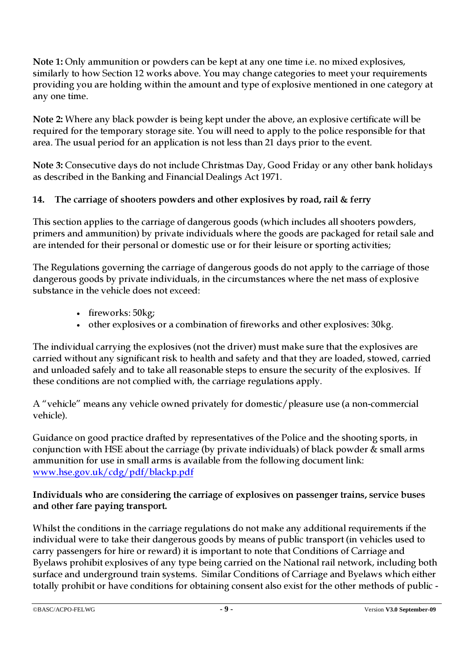Note 1: Only ammunition or powders can be kept at any one time i.e. no mixed explosives, similarly to how Section 12 works above. You may change categories to meet your requirements providing you are holding within the amount and type of explosive mentioned in one category at any one time.

Note 2: Where any black powder is being kept under the above, an explosive certificate will be required for the temporary storage site. You will need to apply to the police responsible for that area. The usual period for an application is not less than 21 days prior to the event.

Note 3: Consecutive days do not include Christmas Day, Good Friday or any other bank holidays as described in the Banking and Financial Dealings Act 1971.

## 14. The carriage of shooters powders and other explosives by road, rail & ferry

This section applies to the carriage of dangerous goods (which includes all shooters powders, primers and ammunition) by private individuals where the goods are packaged for retail sale and are intended for their personal or domestic use or for their leisure or sporting activities;

The Regulations governing the carriage of dangerous goods do not apply to the carriage of those dangerous goods by private individuals, in the circumstances where the net mass of explosive substance in the vehicle does not exceed:

- fireworks: 50kg;
- other explosives or a combination of fireworks and other explosives: 30kg.

The individual carrying the explosives (not the driver) must make sure that the explosives are carried without any significant risk to health and safety and that they are loaded, stowed, carried and unloaded safely and to take all reasonable steps to ensure the security of the explosives. If these conditions are not complied with, the carriage regulations apply.

A "vehicle" means any vehicle owned privately for domestic/pleasure use (a non-commercial vehicle).

Guidance on good practice drafted by representatives of the Police and the shooting sports, in conjunction with HSE about the carriage (by private individuals) of black powder & small arms ammunition for use in small arms is available from the following document link: www.hse.gov.uk/cdg/pdf/blackp.pdf

Individuals who are considering the carriage of explosives on passenger trains, service buses and other fare paying transport.

Whilst the conditions in the carriage regulations do not make any additional requirements if the individual were to take their dangerous goods by means of public transport (in vehicles used to carry passengers for hire or reward) it is important to note that Conditions of Carriage and Byelaws prohibit explosives of any type being carried on the National rail network, including both surface and underground train systems. Similar Conditions of Carriage and Byelaws which either totally prohibit or have conditions for obtaining consent also exist for the other methods of public -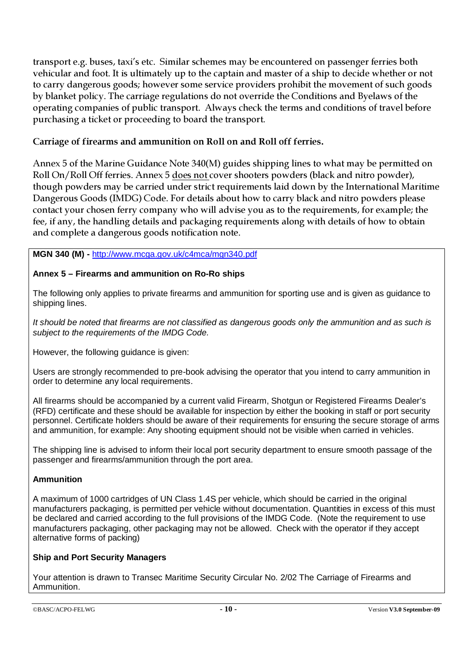transport e.g. buses, taxi's etc. Similar schemes may be encountered on passenger ferries both vehicular and foot. It is ultimately up to the captain and master of a ship to decide whether or not to carry dangerous goods; however some service providers prohibit the movement of such goods by blanket policy. The carriage regulations do not override the Conditions and Byelaws of the operating companies of public transport. Always check the terms and conditions of travel before purchasing a ticket or proceeding to board the transport.

#### Carriage of firearms and ammunition on Roll on and Roll off ferries.

Annex 5 of the Marine Guidance Note 340(M) guides shipping lines to what may be permitted on Roll On/Roll Off ferries. Annex 5 does not cover shooters powders (black and nitro powder), though powders may be carried under strict requirements laid down by the International Maritime Dangerous Goods (IMDG) Code. For details about how to carry black and nitro powders please contact your chosen ferry company who will advise you as to the requirements, for example; the fee, if any, the handling details and packaging requirements along with details of how to obtain and complete a dangerous goods notification note.

#### **MGN 340 (M) -** http://www.mcga.gov.uk/c4mca/mgn340.pdf

#### **Annex 5 – Firearms and ammunition on Ro-Ro ships**

The following only applies to private firearms and ammunition for sporting use and is given as guidance to shipping lines.

It should be noted that firearms are not classified as dangerous goods only the ammunition and as such is subject to the requirements of the IMDG Code.

However, the following guidance is given:

Users are strongly recommended to pre-book advising the operator that you intend to carry ammunition in order to determine any local requirements.

All firearms should be accompanied by a current valid Firearm, Shotgun or Registered Firearms Dealer's (RFD) certificate and these should be available for inspection by either the booking in staff or port security personnel. Certificate holders should be aware of their requirements for ensuring the secure storage of arms and ammunition, for example: Any shooting equipment should not be visible when carried in vehicles.

The shipping line is advised to inform their local port security department to ensure smooth passage of the passenger and firearms/ammunition through the port area.

#### **Ammunition**

A maximum of 1000 cartridges of UN Class 1.4S per vehicle, which should be carried in the original manufacturers packaging, is permitted per vehicle without documentation. Quantities in excess of this must be declared and carried according to the full provisions of the IMDG Code. (Note the requirement to use manufacturers packaging, other packaging may not be allowed. Check with the operator if they accept alternative forms of packing)

#### **Ship and Port Security Managers**

Your attention is drawn to Transec Maritime Security Circular No. 2/02 The Carriage of Firearms and Ammunition.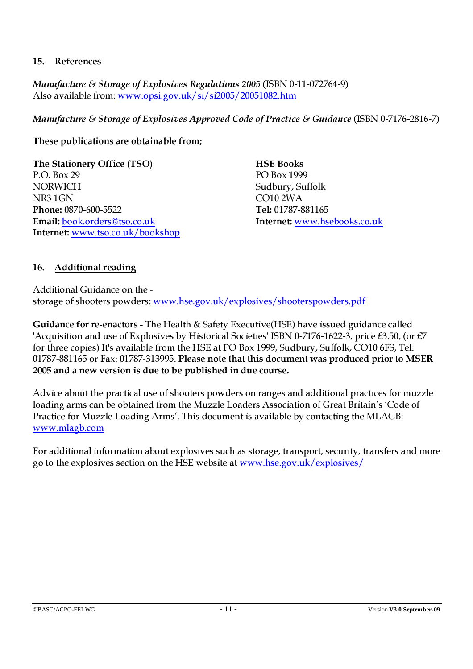#### 15. References

Manufacture & Storage of Explosives Regulations 2005 (ISBN 0-11-072764-9) Also available from: www.opsi.gov.uk/si/si2005/20051082.htm

Manufacture & Storage of Explosives Approved Code of Practice & Guidance (ISBN 0-7176-2816-7)

#### These publications are obtainable from;

The Stationery Office (TSO) HSE Books P.O. Box 29 PO Box 1999 NORWICH Sudbury, Suffolk NR3 1GN CO10 2WA Phone: 0870-600-5522 Tel: 01787-881165 Email: book.orders@tso.co.uk Internet: www.hsebooks.co.uk Internet: www.tso.co.uk/bookshop

## 16. Additional reading

Additional Guidance on the storage of shooters powders: www.hse.gov.uk/explosives/shooterspowders.pdf

Guidance for re-enactors - The Health & Safety Executive(HSE) have issued guidance called 'Acquisition and use of Explosives by Historical Societies' ISBN 0-7176-1622-3, price £3.50, (or £7 for three copies) It's available from the HSE at PO Box 1999, Sudbury, Suffolk, CO10 6FS, Tel: 01787-881165 or Fax: 01787-313995. Please note that this document was produced prior to MSER 2005 and a new version is due to be published in due course.

Advice about the practical use of shooters powders on ranges and additional practices for muzzle loading arms can be obtained from the Muzzle Loaders Association of Great Britain's 'Code of Practice for Muzzle Loading Arms'. This document is available by contacting the MLAGB: www.mlagb.com

For additional information about explosives such as storage, transport, security, transfers and more go to the explosives section on the HSE website at www.hse.gov.uk/explosives/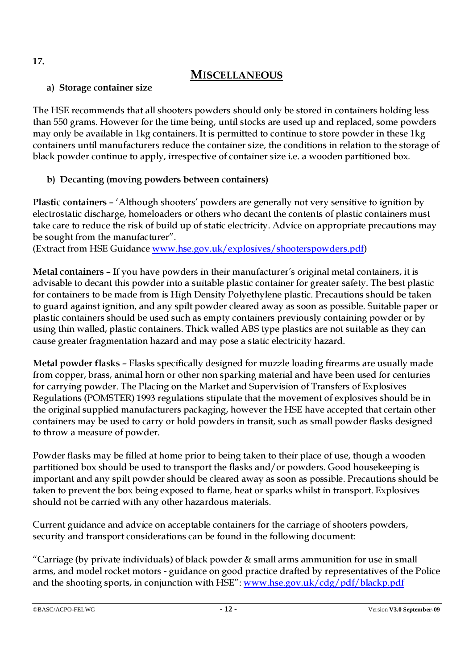## **MISCELLANEOUS**

## a) Storage container size

The HSE recommends that all shooters powders should only be stored in containers holding less than 550 grams. However for the time being, until stocks are used up and replaced, some powders may only be available in 1kg containers. It is permitted to continue to store powder in these 1kg containers until manufacturers reduce the container size, the conditions in relation to the storage of black powder continue to apply, irrespective of container size i.e. a wooden partitioned box.

## b) Decanting (moving powders between containers)

Plastic containers – 'Although shooters' powders are generally not very sensitive to ignition by electrostatic discharge, homeloaders or others who decant the contents of plastic containers must take care to reduce the risk of build up of static electricity. Advice on appropriate precautions may be sought from the manufacturer".

(Extract from HSE Guidance www.hse.gov.uk/explosives/shooterspowders.pdf)

Metal containers – If you have powders in their manufacturer's original metal containers, it is advisable to decant this powder into a suitable plastic container for greater safety. The best plastic for containers to be made from is High Density Polyethylene plastic. Precautions should be taken to guard against ignition, and any spilt powder cleared away as soon as possible. Suitable paper or plastic containers should be used such as empty containers previously containing powder or by using thin walled, plastic containers. Thick walled ABS type plastics are not suitable as they can cause greater fragmentation hazard and may pose a static electricity hazard.

Metal powder flasks – Flasks specifically designed for muzzle loading firearms are usually made from copper, brass, animal horn or other non sparking material and have been used for centuries for carrying powder. The Placing on the Market and Supervision of Transfers of Explosives Regulations (POMSTER) 1993 regulations stipulate that the movement of explosives should be in the original supplied manufacturers packaging, however the HSE have accepted that certain other containers may be used to carry or hold powders in transit, such as small powder flasks designed to throw a measure of powder.

Powder flasks may be filled at home prior to being taken to their place of use, though a wooden partitioned box should be used to transport the flasks and/or powders. Good housekeeping is important and any spilt powder should be cleared away as soon as possible. Precautions should be taken to prevent the box being exposed to flame, heat or sparks whilst in transport. Explosives should not be carried with any other hazardous materials.

Current guidance and advice on acceptable containers for the carriage of shooters powders, security and transport considerations can be found in the following document:

"Carriage (by private individuals) of black powder & small arms ammunition for use in small arms, and model rocket motors - guidance on good practice drafted by representatives of the Police and the shooting sports, in conjunction with HSE": www.hse.gov.uk/cdg/pdf/blackp.pdf

17.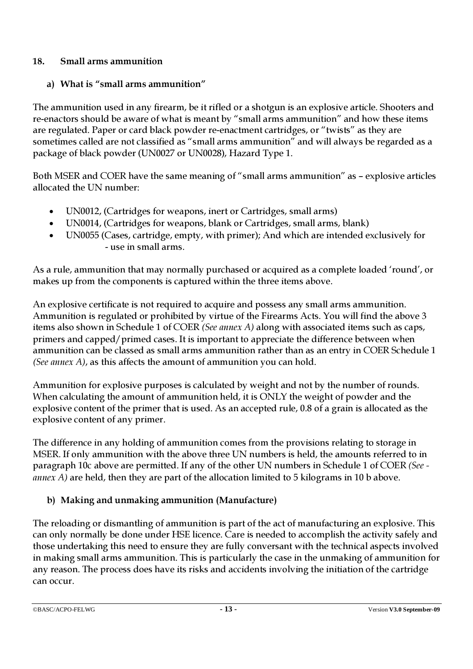## 18. Small arms ammunition

## a) What is "small arms ammunition"

The ammunition used in any firearm, be it rifled or a shotgun is an explosive article. Shooters and re-enactors should be aware of what is meant by "small arms ammunition" and how these items are regulated. Paper or card black powder re-enactment cartridges, or "twists" as they are sometimes called are not classified as "small arms ammunition" and will always be regarded as a package of black powder (UN0027 or UN0028), Hazard Type 1.

Both MSER and COER have the same meaning of "small arms ammunition" as – explosive articles allocated the UN number:

- UN0012, (Cartridges for weapons, inert or Cartridges, small arms)
- UN0014, (Cartridges for weapons, blank or Cartridges, small arms, blank)
- UN0055 (Cases, cartridge, empty, with primer); And which are intended exclusively for - use in small arms.

As a rule, ammunition that may normally purchased or acquired as a complete loaded 'round', or makes up from the components is captured within the three items above.

An explosive certificate is not required to acquire and possess any small arms ammunition. Ammunition is regulated or prohibited by virtue of the Firearms Acts. You will find the above 3 items also shown in Schedule 1 of COER (See annex A) along with associated items such as caps, primers and capped/primed cases. It is important to appreciate the difference between when ammunition can be classed as small arms ammunition rather than as an entry in COER Schedule 1 (See annex A), as this affects the amount of ammunition you can hold.

Ammunition for explosive purposes is calculated by weight and not by the number of rounds. When calculating the amount of ammunition held, it is ONLY the weight of powder and the explosive content of the primer that is used. As an accepted rule, 0.8 of a grain is allocated as the explosive content of any primer.

The difference in any holding of ammunition comes from the provisions relating to storage in MSER. If only ammunition with the above three UN numbers is held, the amounts referred to in paragraph 10c above are permitted. If any of the other UN numbers in Schedule 1 of COER (See  $annex A$ ) are held, then they are part of the allocation limited to 5 kilograms in 10 b above.

## b) Making and unmaking ammunition (Manufacture)

The reloading or dismantling of ammunition is part of the act of manufacturing an explosive. This can only normally be done under HSE licence. Care is needed to accomplish the activity safely and those undertaking this need to ensure they are fully conversant with the technical aspects involved in making small arms ammunition. This is particularly the case in the unmaking of ammunition for any reason. The process does have its risks and accidents involving the initiation of the cartridge can occur.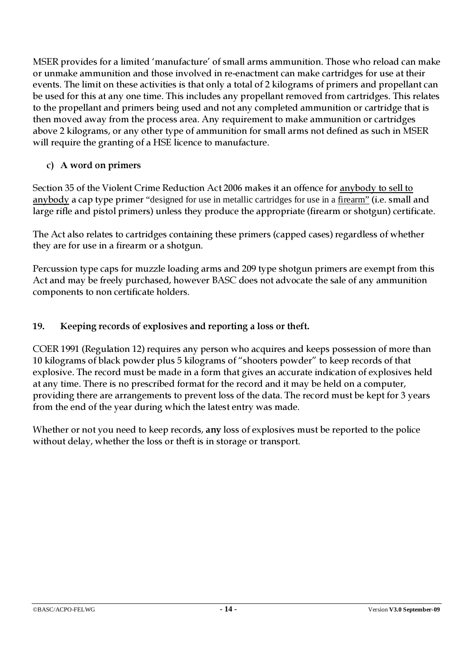MSER provides for a limited 'manufacture' of small arms ammunition. Those who reload can make or unmake ammunition and those involved in re-enactment can make cartridges for use at their events. The limit on these activities is that only a total of 2 kilograms of primers and propellant can be used for this at any one time. This includes any propellant removed from cartridges. This relates to the propellant and primers being used and not any completed ammunition or cartridge that is then moved away from the process area. Any requirement to make ammunition or cartridges above 2 kilograms, or any other type of ammunition for small arms not defined as such in MSER will require the granting of a HSE licence to manufacture.

## c) A word on primers

Section 35 of the Violent Crime Reduction Act 2006 makes it an offence for anybody to sell to anybody a cap type primer "designed for use in metallic cartridges for use in a firearm" (i.e. small and large rifle and pistol primers) unless they produce the appropriate (firearm or shotgun) certificate.

The Act also relates to cartridges containing these primers (capped cases) regardless of whether they are for use in a firearm or a shotgun.

Percussion type caps for muzzle loading arms and 209 type shotgun primers are exempt from this Act and may be freely purchased, however BASC does not advocate the sale of any ammunition components to non certificate holders.

## 19. Keeping records of explosives and reporting a loss or theft.

COER 1991 (Regulation 12) requires any person who acquires and keeps possession of more than 10 kilograms of black powder plus 5 kilograms of "shooters powder" to keep records of that explosive. The record must be made in a form that gives an accurate indication of explosives held at any time. There is no prescribed format for the record and it may be held on a computer, providing there are arrangements to prevent loss of the data. The record must be kept for 3 years from the end of the year during which the latest entry was made.

Whether or not you need to keep records, any loss of explosives must be reported to the police without delay, whether the loss or theft is in storage or transport.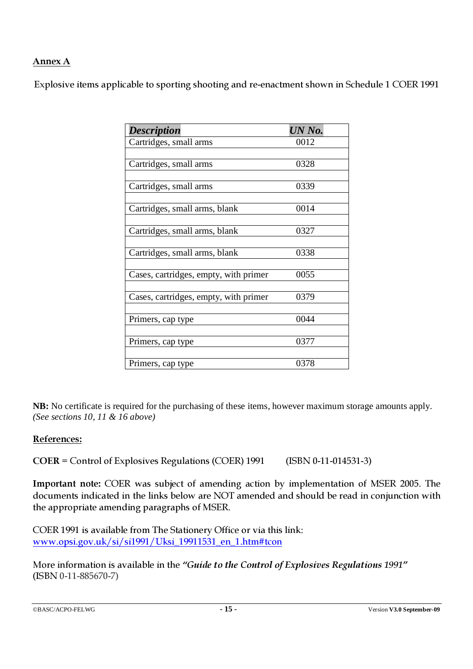## Annex A

Explosive items applicable to sporting shooting and re-enactment shown in Schedule 1 COER 1991

| <b>Description</b>                    | UN No. |
|---------------------------------------|--------|
| Cartridges, small arms                | 0012   |
|                                       |        |
| Cartridges, small arms                | 0328   |
| Cartridges, small arms                | 0339   |
|                                       |        |
| Cartridges, small arms, blank         | 0014   |
| Cartridges, small arms, blank         | 0327   |
| Cartridges, small arms, blank         | 0338   |
| Cases, cartridges, empty, with primer | 0055   |
| Cases, cartridges, empty, with primer | 0379   |
| Primers, cap type                     | 0044   |
| Primers, cap type                     | 0377   |
| Primers, cap type                     | 0378   |

**NB:** No certificate is required for the purchasing of these items, however maximum storage amounts apply. *(See sections 10, 11 & 16 above)* 

#### References:

COER = Control of Explosives Regulations (COER) 1991 (ISBN 0-11-014531-3)

Important note: COER was subject of amending action by implementation of MSER 2005. The documents indicated in the links below are NOT amended and should be read in conjunction with the appropriate amending paragraphs of MSER.

COER 1991 is available from The Stationery Office or via this link: www.opsi.gov.uk/si/si1991/Uksi\_19911531\_en\_1.htm#tcon

More information is available in the "Guide to the Control of Explosives Regulations 1991" (ISBN 0-11-885670-7)

```
©BASC/ACPO-FELWG - 15 - Version V3.0 September-09
```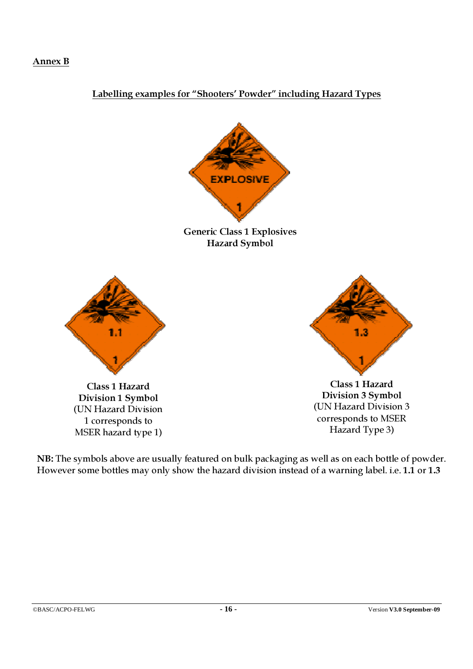#### Annex B

## Labelling examples for "Shooters' Powder" including Hazard Types



Generic Class 1 Explosives Hazard Symbol



Class 1 Hazard Division 1 Symbol (UN Hazard Division 1 corresponds to MSER hazard type 1)



Class 1 Hazard Division 3 Symbol (UN Hazard Division 3 corresponds to MSER Hazard Type 3)

NB: The symbols above are usually featured on bulk packaging as well as on each bottle of powder. However some bottles may only show the hazard division instead of a warning label. i.e. 1.1 or 1.3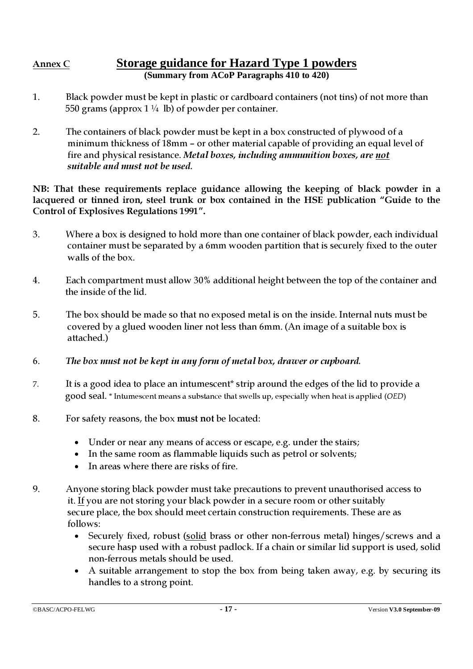#### Annex C **Storage guidance for Hazard Type 1 powders (Summary from ACoP Paragraphs 410 to 420)**

- 1. Black powder must be kept in plastic or cardboard containers (not tins) of not more than 550 grams (approx  $1\frac{1}{4}$  lb) of powder per container.
- 2. The containers of black powder must be kept in a box constructed of plywood of a minimum thickness of 18mm – or other material capable of providing an equal level of fire and physical resistance. Metal boxes, including ammunition boxes, are not suitable and must not be used.

NB: That these requirements replace guidance allowing the keeping of black powder in a lacquered or tinned iron, steel trunk or box contained in the HSE publication "Guide to the Control of Explosives Regulations 1991".

- 3. Where a box is designed to hold more than one container of black powder, each individual container must be separated by a 6mm wooden partition that is securely fixed to the outer walls of the box.
- 4. Each compartment must allow 30% additional height between the top of the container and the inside of the lid.
- 5. The box should be made so that no exposed metal is on the inside. Internal nuts must be covered by a glued wooden liner not less than 6mm. (An image of a suitable box is attached.)
- 6. The box must not be kept in any form of metal box, drawer or cupboard.
- 7. It is a good idea to place an intumescent\* strip around the edges of the lid to provide a good seal. \* Intumescent means a substance that swells up, especially when heat is applied (OED)
- 8. For safety reasons, the box must not be located:
	- Under or near any means of access or escape, e.g. under the stairs;
	- In the same room as flammable liquids such as petrol or solvents;
	- In areas where there are risks of fire.
- 9. Anyone storing black powder must take precautions to prevent unauthorised access to it. If you are not storing your black powder in a secure room or other suitably secure place, the box should meet certain construction requirements. These are as follows:
	- Securely fixed, robust (solid brass or other non-ferrous metal) hinges/screws and a secure hasp used with a robust padlock. If a chain or similar lid support is used, solid non-ferrous metals should be used.
	- A suitable arrangement to stop the box from being taken away, e.g. by securing its handles to a strong point.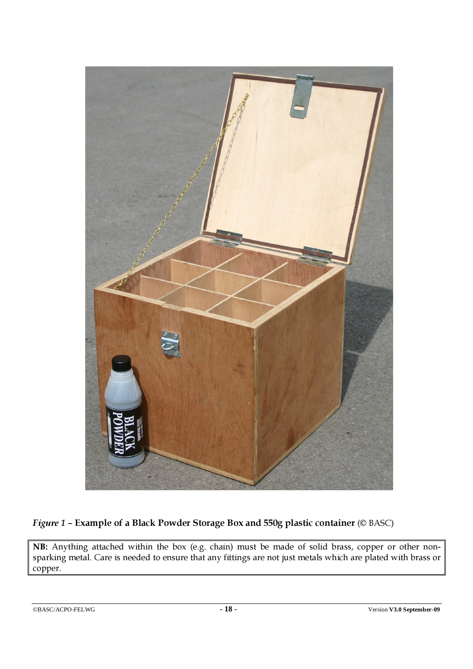

## Figure 1 – Example of a Black Powder Storage Box and 550g plastic container (© BASC)

NB: Anything attached within the box (e.g. chain) must be made of solid brass, copper or other nonsparking metal. Care is needed to ensure that any fittings are not just metals which are plated with brass or copper.